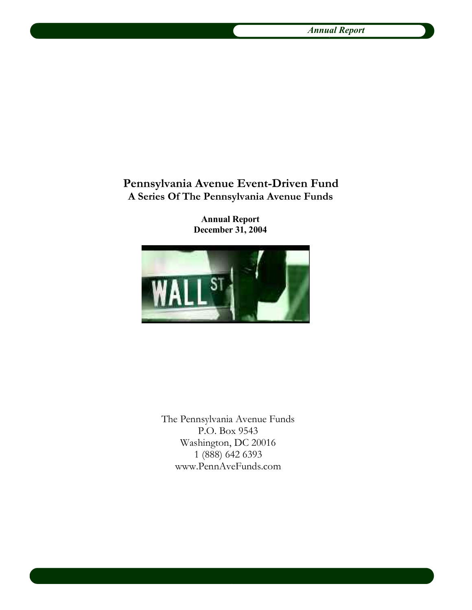# **Pennsylvania Avenue Event-Driven Fund A Series Of The Pennsylvania Avenue Funds**

**Annual Report December 31, 2004**



The Pennsylvania Avenue Funds P.O. Box 9543 Washington, DC 20016 1 (888) 642 6393 www.PennAveFunds.com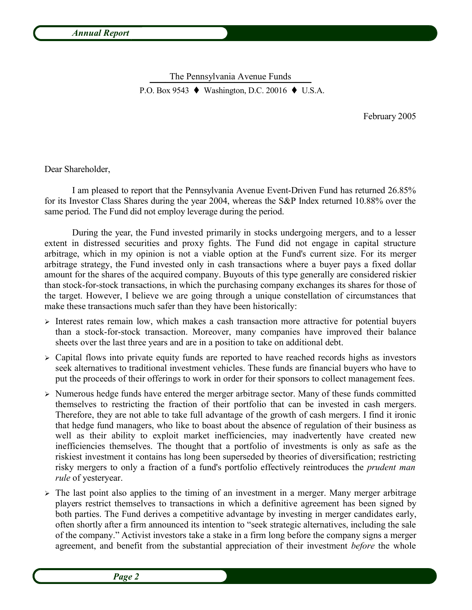The Pennsylvania Avenue Funds  $\frac{1}{100}$   $\frac{1}{100}$   $\frac{1}{100}$   $\frac{1}{100}$   $\frac{1}{100}$   $\frac{1}{100}$   $\frac{1}{100}$   $\frac{1}{100}$   $\frac{1}{100}$   $\frac{1}{100}$   $\frac{1}{100}$   $\frac{1}{100}$   $\frac{1}{100}$   $\frac{1}{100}$   $\frac{1}{100}$   $\frac{1}{100}$   $\frac{1}{100}$   $\frac{1}{100}$   $\frac{1$ P.O. Box 9543  $\blacklozenge$  Washington, D.C. 20016  $\blacklozenge$  U.S.A.

February 2005

Dear Shareholder,

I am pleased to report that the Pennsylvania Avenue Event-Driven Fund has returned 26.85% for its Investor Class Shares during the year 2004, whereas the S&P Index returned 10.88% over the same period. The Fund did not employ leverage during the period.

During the year, the Fund invested primarily in stocks undergoing mergers, and to a lesser extent in distressed securities and proxy fights. The Fund did not engage in capital structure arbitrage, which in my opinion is not a viable option at the Fund's current size. For its merger arbitrage strategy, the Fund invested only in cash transactions where a buyer pays a fixed dollar amount for the shares of the acquired company. Buyouts of this type generally are considered riskier than stock-for-stock transactions, in which the purchasing company exchanges its shares for those of the target. However, I believe we are going through a unique constellation of circumstances that make these transactions much safer than they have been historically:

- ➢ Interest rates remain low, which makes a cash transaction more attractive for potential buyers than a stock-for-stock transaction. Moreover, many companies have improved their balance sheets over the last three years and are in a position to take on additional debt.
- $\geq$  Capital flows into private equity funds are reported to have reached records highs as investors seek alternatives to traditional investment vehicles. These funds are financial buyers who have to put the proceeds of their offerings to work in order for their sponsors to collect management fees.
- ➢ Numerous hedge funds have entered the merger arbitrage sector. Many of these funds committed themselves to restricting the fraction of their portfolio that can be invested in cash mergers. Therefore, they are not able to take full advantage of the growth of cash mergers. I find it ironic that hedge fund managers, who like to boast about the absence of regulation of their business as well as their ability to exploit market inefficiencies, may inadvertently have created new inefficiencies themselves. The thought that a portfolio of investments is only as safe as the riskiest investment it contains has long been superseded by theories of diversification; restricting risky mergers to only a fraction of a fund's portfolio effectively reintroduces the *prudent man rule* of yesteryear.
- ➢ The last point also applies to the timing of an investment in a merger. Many merger arbitrage players restrict themselves to transactions in which a definitive agreement has been signed by both parties. The Fund derives a competitive advantage by investing in merger candidates early, often shortly after a firm announced its intention to "seek strategic alternatives, including the sale of the company." Activist investors take a stake in a firm long before the company signs a merger agreement, and benefit from the substantial appreciation of their investment *before* the whole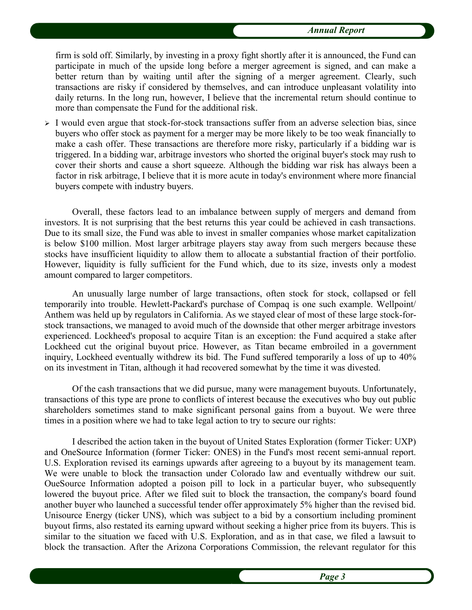firm is sold off. Similarly, by investing in a proxy fight shortly after it is announced, the Fund can participate in much of the upside long before a merger agreement is signed, and can make a better return than by waiting until after the signing of a merger agreement. Clearly, such transactions are risky if considered by themselves, and can introduce unpleasant volatility into daily returns. In the long run, however, I believe that the incremental return should continue to more than compensate the Fund for the additional risk.

➢ I would even argue that stock-for-stock transactions suffer from an adverse selection bias, since buyers who offer stock as payment for a merger may be more likely to be too weak financially to make a cash offer. These transactions are therefore more risky, particularly if a bidding war is triggered. In a bidding war, arbitrage investors who shorted the original buyer's stock may rush to cover their shorts and cause a short squeeze. Although the bidding war risk has always been a factor in risk arbitrage, I believe that it is more acute in today's environment where more financial buyers compete with industry buyers.

Overall, these factors lead to an imbalance between supply of mergers and demand from investors. It is not surprising that the best returns this year could be achieved in cash transactions. Due to its small size, the Fund was able to invest in smaller companies whose market capitalization is below \$100 million. Most larger arbitrage players stay away from such mergers because these stocks have insufficient liquidity to allow them to allocate a substantial fraction of their portfolio. However, liquidity is fully sufficient for the Fund which, due to its size, invests only a modest amount compared to larger competitors.

An unusually large number of large transactions, often stock for stock, collapsed or fell temporarily into trouble. Hewlett-Packard's purchase of Compaq is one such example. Wellpoint/ Anthem was held up by regulators in California. As we stayed clear of most of these large stock-forstock transactions, we managed to avoid much of the downside that other merger arbitrage investors experienced. Lockheed's proposal to acquire Titan is an exception: the Fund acquired a stake after Lockheed cut the original buyout price. However, as Titan became embroiled in a government inquiry, Lockheed eventually withdrew its bid. The Fund suffered temporarily a loss of up to 40% on its investment in Titan, although it had recovered somewhat by the time it was divested.

Of the cash transactions that we did pursue, many were management buyouts. Unfortunately, transactions of this type are prone to conflicts of interest because the executives who buy out public shareholders sometimes stand to make significant personal gains from a buyout. We were three times in a position where we had to take legal action to try to secure our rights:

I described the action taken in the buyout of United States Exploration (former Ticker: UXP) and OneSource Information (former Ticker: ONES) in the Fund's most recent semi-annual report. U.S. Exploration revised its earnings upwards after agreeing to a buyout by its management team. We were unable to block the transaction under Colorado law and eventually withdrew our suit. OueSource Information adopted a poison pill to lock in a particular buyer, who subsequently lowered the buyout price. After we filed suit to block the transaction, the company's board found another buyer who launched a successful tender offer approximately 5% higher than the revised bid. Unisource Energy (ticker UNS), which was subject to a bid by a consortium including prominent buyout firms, also restated its earning upward without seeking a higher price from its buyers. This is similar to the situation we faced with U.S. Exploration, and as in that case, we filed a lawsuit to block the transaction. After the Arizona Corporations Commission, the relevant regulator for this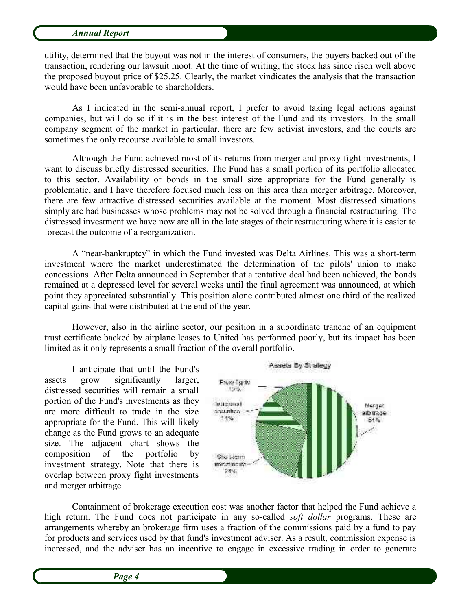utility, determined that the buyout was not in the interest of consumers, the buyers backed out of the transaction, rendering our lawsuit moot. At the time of writing, the stock has since risen well above the proposed buyout price of \$25.25. Clearly, the market vindicates the analysis that the transaction would have been unfavorable to shareholders.

As I indicated in the semi-annual report, I prefer to avoid taking legal actions against companies, but will do so if it is in the best interest of the Fund and its investors. In the small company segment of the market in particular, there are few activist investors, and the courts are sometimes the only recourse available to small investors.

Although the Fund achieved most of its returns from merger and proxy fight investments, I want to discuss briefly distressed securities. The Fund has a small portion of its portfolio allocated to this sector. Availability of bonds in the small size appropriate for the Fund generally is problematic, and I have therefore focused much less on this area than merger arbitrage. Moreover, there are few attractive distressed securities available at the moment. Most distressed situations simply are bad businesses whose problems may not be solved through a financial restructuring. The distressed investment we have now are all in the late stages of their restructuring where it is easier to forecast the outcome of a reorganization.

A "near-bankruptcy" in which the Fund invested was Delta Airlines. This was a short-term investment where the market underestimated the determination of the pilots' union to make concessions. After Delta announced in September that a tentative deal had been achieved, the bonds remained at a depressed level for several weeks until the final agreement was announced, at which point they appreciated substantially. This position alone contributed almost one third of the realized capital gains that were distributed at the end of the year.

However, also in the airline sector, our position in a subordinate tranche of an equipment trust certificate backed by airplane leases to United has performed poorly, but its impact has been limited as it only represents a small fraction of the overall portfolio.

I anticipate that until the Fund's assets grow significantly larger, distressed securities will remain a small portion of the Fund's investments as they are more difficult to trade in the size appropriate for the Fund. This will likely change as the Fund grows to an adequate size. The adjacent chart shows the composition of the portfolio by investment strategy. Note that there is overlap between proxy fight investments and merger arbitrage.



Containment of brokerage execution cost was another factor that helped the Fund achieve a high return. The Fund does not participate in any so-called *soft dollar* programs. These are arrangements whereby an brokerage firm uses a fraction of the commissions paid by a fund to pay for products and services used by that fund's investment adviser. As a result, commission expense is increased, and the adviser has an incentive to engage in excessive trading in order to generate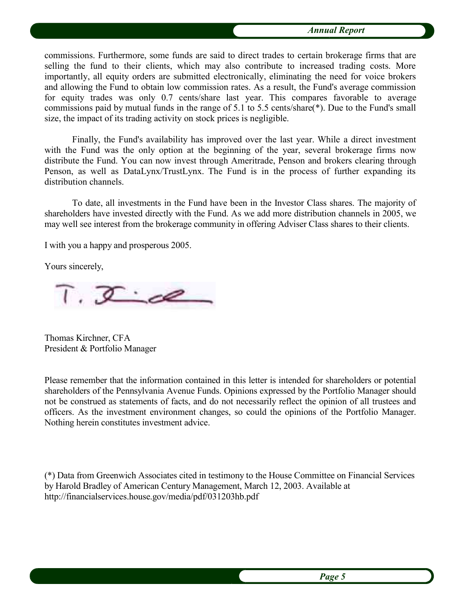commissions. Furthermore, some funds are said to direct trades to certain brokerage firms that are selling the fund to their clients, which may also contribute to increased trading costs. More importantly, all equity orders are submitted electronically, eliminating the need for voice brokers and allowing the Fund to obtain low commission rates. As a result, the Fund's average commission for equity trades was only 0.7 cents/share last year. This compares favorable to average commissions paid by mutual funds in the range of 5.1 to 5.5 cents/share(\*). Due to the Fund's small size, the impact of its trading activity on stock prices is negligible.

Finally, the Fund's availability has improved over the last year. While a direct investment with the Fund was the only option at the beginning of the year, several brokerage firms now distribute the Fund. You can now invest through Ameritrade, Penson and brokers clearing through Penson, as well as DataLynx/TrustLynx. The Fund is in the process of further expanding its distribution channels.

To date, all investments in the Fund have been in the Investor Class shares. The majority of shareholders have invested directly with the Fund. As we add more distribution channels in 2005, we may well see interest from the brokerage community in offering Adviser Class shares to their clients.

I with you a happy and prosperous 2005.

Yours sincerely,

 $T. \nsubseteq \mathbb{Z}$ 

Thomas Kirchner, CFA President & Portfolio Manager

Please remember that the information contained in this letter is intended for shareholders or potential shareholders of the Pennsylvania Avenue Funds. Opinions expressed by the Portfolio Manager should not be construed as statements of facts, and do not necessarily reflect the opinion of all trustees and officers. As the investment environment changes, so could the opinions of the Portfolio Manager. Nothing herein constitutes investment advice.

(\*) Data from Greenwich Associates cited in testimony to the House Committee on Financial Services by Harold Bradley of American Century Management, March 12, 2003. Available at http://financialservices.house.gov/media/pdf/031203hb.pdf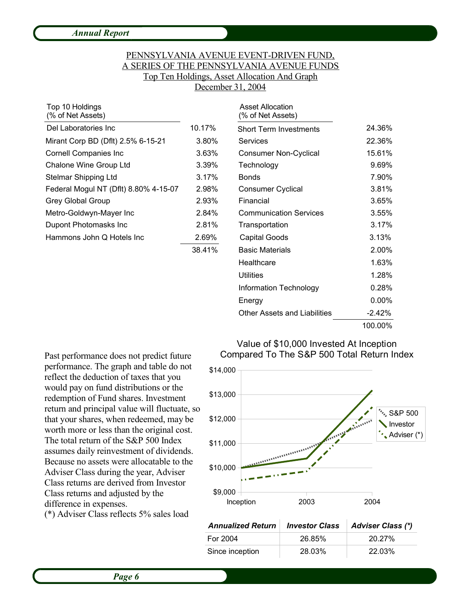# PENNSYLVANIA AVENUE EVENT-DRIVEN FUND, A SERIES OF THE PENNSYLVANIA AVENUE FUNDS Top Ten Holdings, Asset Allocation And Graph December 31, 2004

Asset Allocation

| Top 10 Holdings<br>(% of Net Assets)  |        | <b>Asset Allocation</b><br>(% of Net Assets) |        |
|---------------------------------------|--------|----------------------------------------------|--------|
| Del Laboratories Inc.                 | 10.17% | <b>Short Term Investments</b>                | 24.36% |
| Mirant Corp BD (Dflt) 2.5% 6-15-21    | 3.80%  | <b>Services</b>                              | 22.36% |
| <b>Cornell Companies Inc</b>          | 3.63%  | <b>Consumer Non-Cyclical</b>                 | 15.61% |
| Chalone Wine Group Ltd                | 3.39%  | Technology                                   | 9.69%  |
| Stelmar Shipping Ltd                  | 3.17%  | <b>Bonds</b>                                 | 7.90%  |
| Federal Mogul NT (Dflt) 8.80% 4-15-07 | 2.98%  | <b>Consumer Cyclical</b>                     | 3.81%  |
| <b>Grey Global Group</b>              | 2.93%  | Financial                                    | 3.65%  |
| Metro-Goldwyn-Mayer Inc               | 2.84%  | <b>Communication Services</b>                | 3.55%  |
| Dupont Photomasks Inc.                | 2.81%  | Transportation                               | 3.17%  |
| Hammons John Q Hotels Inc             | 2.69%  | <b>Capital Goods</b>                         | 3.13%  |
|                                       | 38.41% | <b>Basic Materials</b>                       | 2.00%  |

|        | (% of Net Assets)                   |          |
|--------|-------------------------------------|----------|
| 10.17% | <b>Short Term Investments</b>       | 24.36%   |
| 3.80%  | Services                            | 22.36%   |
| 3.63%  | <b>Consumer Non-Cyclical</b>        | 15.61%   |
| 3.39%  | Technology                          | 9.69%    |
| 3.17%  | <b>Bonds</b>                        | 7.90%    |
| 2.98%  | <b>Consumer Cyclical</b>            | 3.81%    |
| 2.93%  | Financial                           | 3.65%    |
| 2.84%  | <b>Communication Services</b>       | 3.55%    |
| 2.81%  | Transportation                      | 3.17%    |
| 2.69%  | Capital Goods                       | 3.13%    |
| 38.41% | <b>Basic Materials</b>              | 2.00%    |
|        | Healthcare                          | 1.63%    |
|        | Utilities                           | 1.28%    |
|        | Information Technology              | 0.28%    |
|        | Energy                              | $0.00\%$ |
|        | <b>Other Assets and Liabilities</b> | $-2.42%$ |
|        |                                     | 100.00%  |

Past performance does not predict future performance. The graph and table do not reflect the deduction of taxes that you would pay on fund distributions or the redemption of Fund shares. Investment return and principal value will fluctuate, so that your shares, when redeemed, may be worth more or less than the original cost. The total return of the S&P 500 Index assumes daily reinvestment of dividends. Because no assets were allocatable to the Adviser Class during the year, Adviser Class returns are derived from Investor Class returns and adjusted by the difference in expenses.

(\*) Adviser Class reflects 5% sales load

#### Value of \$10,000 Invested At Inception Compared To The S&P 500 Total Return Index



| <b>Annualized Return</b> | <b>Investor Class</b> | Adviser Class (*) |
|--------------------------|-----------------------|-------------------|
| For 2004                 | 26.85%                | 20.27%            |
| Since inception          | 28.03%                | 22.03%            |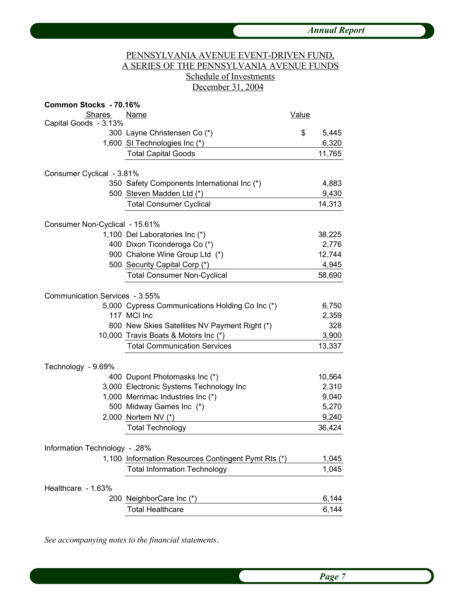# PENNSYLVANIA AVENUE EVENT-DRIVEN FUND, A SERIES OF THE PENNSYLVANIA AVENUE FUNDS Schedule of Investments December 31, 2004

| Common Stocks - 70.16%         |                                                               |              |                |
|--------------------------------|---------------------------------------------------------------|--------------|----------------|
| <b>Shares</b>                  | Name                                                          | <b>Value</b> |                |
| Capital Goods - 3.13%          |                                                               |              |                |
|                                | 300 Layne Christensen Co (*)                                  | \$           | 5,445          |
|                                | 1,600 SI Technologies Inc (*)                                 |              | 6,320          |
|                                | <b>Total Capital Goods</b>                                    |              | 11,765         |
| Consumer Cyclical - 3.81%      |                                                               |              |                |
|                                | 350 Safety Components International Inc (*)                   |              | 4,883          |
|                                | 500 Steven Madden Ltd (*)                                     |              | 9,430          |
|                                | <b>Total Consumer Cyclical</b>                                |              | 14,313         |
| Consumer Non-Cyclical - 15.61% |                                                               |              |                |
|                                | 1,100 Del Laboratories Inc (*)                                |              | 38,225         |
|                                | 400 Dixon Ticonderoga Co (*)                                  |              | 2,776          |
|                                | 900 Chalone Wine Group Ltd (*)                                |              | 12,744         |
|                                | 500 Security Capital Corp (*)                                 |              | 4,945          |
|                                | <b>Total Consumer Non-Cyclical</b>                            |              | 58,690         |
| Communication Services - 3.55% |                                                               |              |                |
|                                | 5,000 Cypress Communications Holding Co Inc (*)               |              | 6,750          |
|                                | 117 MCI Inc                                                   |              | 2,359          |
|                                | 800 New Skies Satellites NV Payment Right (*)                 |              | 328            |
|                                | 10,000 Travis Boats & Motors Inc (*)                          |              | 3,900          |
|                                | <b>Total Communication Services</b>                           |              | 13,337         |
|                                |                                                               |              |                |
| Technology - 9.69%             |                                                               |              |                |
|                                | 400 Dupont Photomasks Inc (*)                                 |              | 10,564         |
|                                | 3,000 Electronic Systems Technology Inc                       |              | 2,310          |
|                                | 1,000 Merrimac Industries Inc (*)<br>500 Midway Games Inc (*) |              | 9,040<br>5,270 |
|                                | 2,000 Nortem NV (*)                                           |              | 9,240          |
|                                | <b>Total Technology</b>                                       |              | 36,424         |
|                                |                                                               |              |                |
| Information Technology - .28%  |                                                               |              |                |
|                                | 1,100 Information Resources Contingent Pymt Rts (*)           |              | 1,045          |
|                                | <b>Total Information Technology</b>                           |              | 1,045          |
| Healthcare - 1.63%             |                                                               |              |                |
|                                | 200 NeighborCare Inc (*)                                      |              | 6,144          |
|                                | <b>Total Healthcare</b>                                       |              | 6,144          |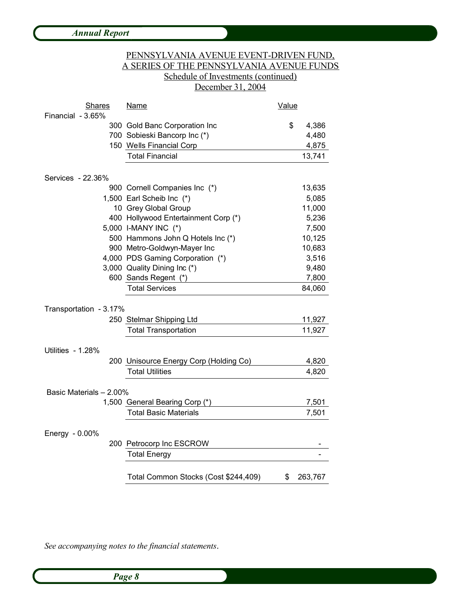|                                    | PENNSYLVANIA AVENUE EVENT-DRIVEN FUND,<br><u>A SERIES OF THE PENNSYLVANIA AVENUE FUNDS</u><br>Schedule of Investments (continued)<br>December 31, 2004 |              |         |
|------------------------------------|--------------------------------------------------------------------------------------------------------------------------------------------------------|--------------|---------|
| <b>Shares</b><br>Financial - 3.65% | <b>Name</b>                                                                                                                                            | <b>Value</b> |         |
|                                    | 300 Gold Banc Corporation Inc                                                                                                                          | \$           | 4,386   |
|                                    | 700 Sobieski Bancorp Inc (*)                                                                                                                           |              | 4,480   |
|                                    | 150 Wells Financial Corp                                                                                                                               |              | 4,875   |
|                                    | <b>Total Financial</b>                                                                                                                                 |              | 13,741  |
| Services - 22.36%                  |                                                                                                                                                        |              |         |
|                                    | 900 Cornell Companies Inc (*)                                                                                                                          |              | 13,635  |
|                                    | 1,500 Earl Scheib Inc (*)                                                                                                                              |              | 5,085   |
|                                    | 10 Grey Global Group                                                                                                                                   |              | 11,000  |
|                                    | 400 Hollywood Entertainment Corp (*)                                                                                                                   |              | 5,236   |
|                                    | 5,000 I-MANY INC (*)                                                                                                                                   |              | 7,500   |
|                                    | 500 Hammons John Q Hotels Inc (*)                                                                                                                      |              | 10,125  |
|                                    | 900 Metro-Goldwyn-Mayer Inc                                                                                                                            |              | 10,683  |
|                                    | 4,000 PDS Gaming Corporation (*)                                                                                                                       |              | 3,516   |
|                                    | 3,000 Quality Dining Inc (*)                                                                                                                           |              | 9,480   |
|                                    | 600 Sands Regent (*)                                                                                                                                   |              | 7,800   |
|                                    | <b>Total Services</b>                                                                                                                                  |              | 84,060  |
| Transportation - 3.17%             |                                                                                                                                                        |              |         |
|                                    | 250 Stelmar Shipping Ltd                                                                                                                               |              | 11,927  |
|                                    | <b>Total Transportation</b>                                                                                                                            |              | 11,927  |
| Utilities - 1.28%                  |                                                                                                                                                        |              |         |
|                                    | 200 Unisource Energy Corp (Holding Co)                                                                                                                 |              | 4,820   |
|                                    | <b>Total Utilities</b>                                                                                                                                 |              | 4,820   |
|                                    |                                                                                                                                                        |              |         |
| Basic Materials - 2.00%            |                                                                                                                                                        |              |         |
|                                    | 1,500 General Bearing Corp (*)                                                                                                                         |              | 7,501   |
|                                    | <b>Total Basic Materials</b>                                                                                                                           |              | 7,501   |
| Energy - 0.00%                     |                                                                                                                                                        |              |         |
|                                    | 200 Petrocorp Inc ESCROW                                                                                                                               |              |         |
|                                    | <b>Total Energy</b>                                                                                                                                    |              |         |
|                                    | Total Common Stocks (Cost \$244,409)                                                                                                                   | \$           | 263,767 |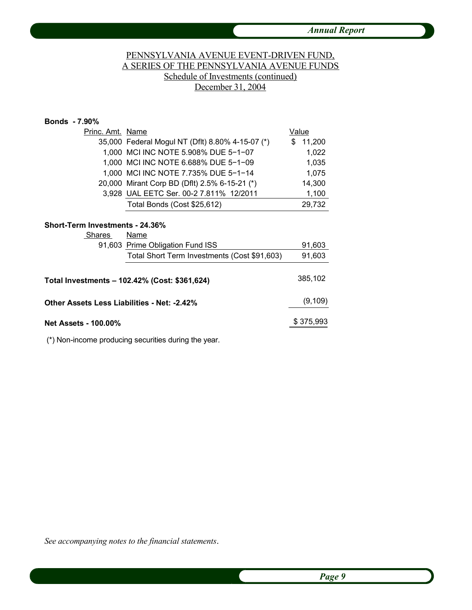# PENNSYLVANIA AVENUE EVENT-DRIVEN FUND, A SERIES OF THE PENNSYLVANIA AVENUE FUNDS Schedule of Investments (continued) December 31, 2004

### **Bonds - 7.90%**

| Princ. Amt. Name |                                                  | Value       |
|------------------|--------------------------------------------------|-------------|
|                  | 35,000 Federal Mogul NT (Dflt) 8.80% 4-15-07 (*) | 11,200<br>S |
|                  | 1,000 MCI INC NOTE 5.908% DUE 5-1-07             | 1,022       |
|                  | 1,000 MCI INC NOTE 6.688% DUE 5-1-09             | 1,035       |
|                  | 1,000 MCI INC NOTE 7.735% DUE 5-1-14             | 1,075       |
|                  | 20,000 Mirant Corp BD (Dflt) 2.5% 6-15-21 (*)    | 14,300      |
|                  | 3,928 UAL EETC Ser. 00-2 7.811% 12/2011          | 1,100       |
|                  | Total Bonds (Cost \$25,612)                      | 29,732      |

#### **Short-Term Investments - 24.36%**

| <b>Shares</b>                               | Name                                          |           |
|---------------------------------------------|-----------------------------------------------|-----------|
|                                             | 91,603 Prime Obligation Fund ISS              | 91,603    |
|                                             | Total Short Term Investments (Cost \$91,603)  | 91,603    |
|                                             | Total Investments – 102.42% (Cost: \$361,624) | 385,102   |
| Other Assets Less Liabilities - Net: -2.42% |                                               | (9, 109)  |
| Net Assets - 100.00%                        |                                               | \$375,993 |

(\*) Non-income producing securities during the year.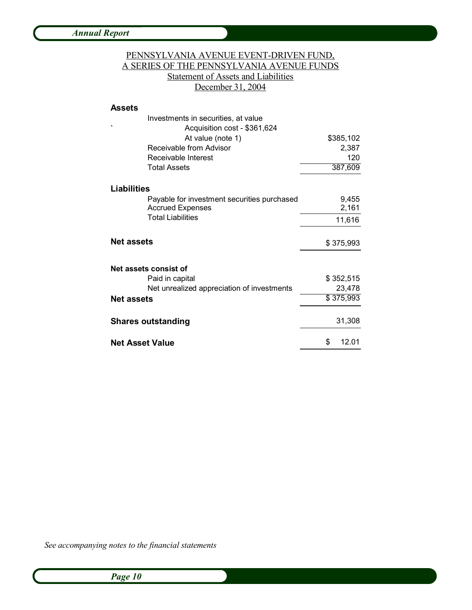# PENNSYLVANIA AVENUE EVENT-DRIVEN FUND, A SERIES OF THE PENNSYLVANIA AVENUE FUNDS Statement of Assets and Liabilities December 31, 2004

#### **Assets**

| Investments in securities, at value         |             |
|---------------------------------------------|-------------|
| Acquisition cost - \$361,624                |             |
| At value (note 1)                           | \$385,102   |
| Receivable from Advisor                     | 2,387       |
| Receivable Interest                         | 120         |
| <b>Total Assets</b>                         | 387,609     |
| Liabilities                                 |             |
| Payable for investment securities purchased | 9,455       |
| <b>Accrued Expenses</b>                     | 2,161       |
| <b>Total Liabilities</b>                    | 11,616      |
| <b>Net assets</b>                           | \$375,993   |
| Net assets consist of                       |             |
| Paid in capital                             | \$352,515   |
| Net unrealized appreciation of investments  | 23,478      |
| <b>Net assets</b>                           | \$375,993   |
| <b>Shares outstanding</b>                   | 31,308      |
| <b>Net Asset Value</b>                      | \$<br>12.01 |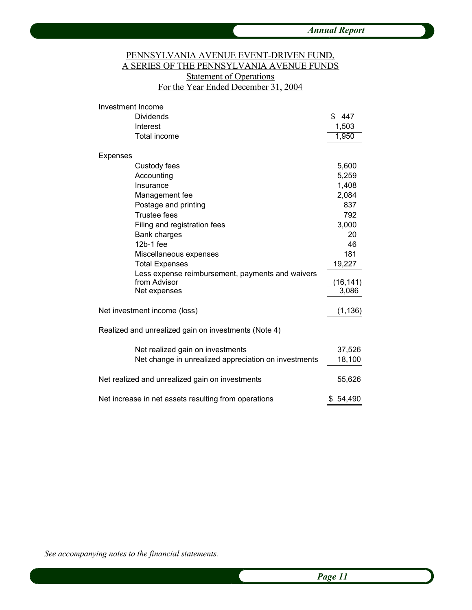## PENNSYLVANIA AVENUE EVENT-DRIVEN FUND, A SERIES OF THE PENNSYLVANIA AVENUE FUNDS **Statement of Operations** For the Year Ended December 31, 2004

| Investment Income                                    |          |
|------------------------------------------------------|----------|
| <b>Dividends</b>                                     | \$447    |
| Interest                                             | 1,503    |
| <b>Total income</b>                                  | 1,950    |
| Expenses                                             |          |
| Custody fees                                         | 5,600    |
| Accounting                                           | 5,259    |
| Insurance                                            | 1,408    |
| Management fee                                       | 2,084    |
| Postage and printing                                 | 837      |
| <b>Trustee fees</b>                                  | 792      |
| Filing and registration fees                         | 3,000    |
| <b>Bank charges</b>                                  | 20       |
| 12b-1 fee                                            | 46       |
| Miscellaneous expenses                               | 181      |
| <b>Total Expenses</b>                                | 19,227   |
| Less expense reimbursement, payments and waivers     |          |
| from Advisor                                         | (16,141) |
| Net expenses                                         | 3,086    |
| Net investment income (loss)                         | (1, 136) |
| Realized and unrealized gain on investments (Note 4) |          |
| Net realized gain on investments                     | 37,526   |
| Net change in unrealized appreciation on investments | 18,100   |
| Net realized and unrealized gain on investments      | 55,626   |
| Net increase in net assets resulting from operations | \$54,490 |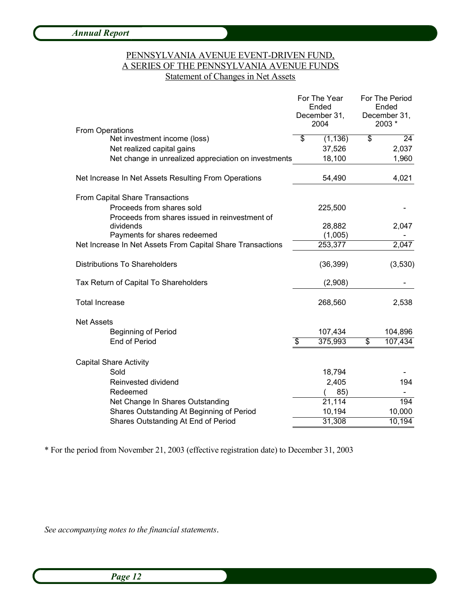### PENNSYLVANIA AVENUE EVENT-DRIVEN FUND, A SERIES OF THE PENNSYLVANIA AVENUE FUNDS Statement of Changes in Net Assets

| December 31,<br>2003 *<br>2004<br><b>From Operations</b><br>\$<br>\$<br>24<br>(1, 136)<br>Net investment income (loss)<br>Net realized capital gains<br>37,526<br>2,037<br>18,100<br>1,960<br>Net change in unrealized appreciation on investments<br>Net Increase In Net Assets Resulting From Operations<br>54,490<br>4,021<br><b>From Capital Share Transactions</b><br>Proceeds from shares sold<br>225,500<br>Proceeds from shares issued in reinvestment of<br>28,882<br>2,047<br>dividends<br>Payments for shares redeemed<br>(1,005)<br>Net Increase In Net Assets From Capital Share Transactions<br>253,377<br>2,047<br><b>Distributions To Shareholders</b><br>(36, 399)<br>(3,530)<br>Tax Return of Capital To Shareholders<br>(2,908)<br><b>Total Increase</b><br>268,560<br>2,538<br><b>Net Assets</b><br><b>Beginning of Period</b><br>107,434<br>104,896<br>375,993<br>107,434<br><b>End of Period</b><br>\$<br>\$<br><b>Capital Share Activity</b><br>Sold<br>18,794<br>Reinvested dividend<br>2,405<br>194<br>Redeemed<br>85)<br>21,114<br>194<br>Net Change In Shares Outstanding<br>Shares Outstanding At Beginning of Period<br>10,194<br>10,000<br>31,308<br>Shares Outstanding At End of Period<br>10,194 | For The Year<br>Ended |  | For The Period<br>Ended |  |
|----------------------------------------------------------------------------------------------------------------------------------------------------------------------------------------------------------------------------------------------------------------------------------------------------------------------------------------------------------------------------------------------------------------------------------------------------------------------------------------------------------------------------------------------------------------------------------------------------------------------------------------------------------------------------------------------------------------------------------------------------------------------------------------------------------------------------------------------------------------------------------------------------------------------------------------------------------------------------------------------------------------------------------------------------------------------------------------------------------------------------------------------------------------------------------------------------------------------------------|-----------------------|--|-------------------------|--|
|                                                                                                                                                                                                                                                                                                                                                                                                                                                                                                                                                                                                                                                                                                                                                                                                                                                                                                                                                                                                                                                                                                                                                                                                                                  | December 31,          |  |                         |  |
|                                                                                                                                                                                                                                                                                                                                                                                                                                                                                                                                                                                                                                                                                                                                                                                                                                                                                                                                                                                                                                                                                                                                                                                                                                  |                       |  |                         |  |
|                                                                                                                                                                                                                                                                                                                                                                                                                                                                                                                                                                                                                                                                                                                                                                                                                                                                                                                                                                                                                                                                                                                                                                                                                                  |                       |  |                         |  |
|                                                                                                                                                                                                                                                                                                                                                                                                                                                                                                                                                                                                                                                                                                                                                                                                                                                                                                                                                                                                                                                                                                                                                                                                                                  |                       |  |                         |  |
|                                                                                                                                                                                                                                                                                                                                                                                                                                                                                                                                                                                                                                                                                                                                                                                                                                                                                                                                                                                                                                                                                                                                                                                                                                  |                       |  |                         |  |
|                                                                                                                                                                                                                                                                                                                                                                                                                                                                                                                                                                                                                                                                                                                                                                                                                                                                                                                                                                                                                                                                                                                                                                                                                                  |                       |  |                         |  |
|                                                                                                                                                                                                                                                                                                                                                                                                                                                                                                                                                                                                                                                                                                                                                                                                                                                                                                                                                                                                                                                                                                                                                                                                                                  |                       |  |                         |  |
|                                                                                                                                                                                                                                                                                                                                                                                                                                                                                                                                                                                                                                                                                                                                                                                                                                                                                                                                                                                                                                                                                                                                                                                                                                  |                       |  |                         |  |
|                                                                                                                                                                                                                                                                                                                                                                                                                                                                                                                                                                                                                                                                                                                                                                                                                                                                                                                                                                                                                                                                                                                                                                                                                                  |                       |  |                         |  |
|                                                                                                                                                                                                                                                                                                                                                                                                                                                                                                                                                                                                                                                                                                                                                                                                                                                                                                                                                                                                                                                                                                                                                                                                                                  |                       |  |                         |  |
|                                                                                                                                                                                                                                                                                                                                                                                                                                                                                                                                                                                                                                                                                                                                                                                                                                                                                                                                                                                                                                                                                                                                                                                                                                  |                       |  |                         |  |
|                                                                                                                                                                                                                                                                                                                                                                                                                                                                                                                                                                                                                                                                                                                                                                                                                                                                                                                                                                                                                                                                                                                                                                                                                                  |                       |  |                         |  |
|                                                                                                                                                                                                                                                                                                                                                                                                                                                                                                                                                                                                                                                                                                                                                                                                                                                                                                                                                                                                                                                                                                                                                                                                                                  |                       |  |                         |  |
|                                                                                                                                                                                                                                                                                                                                                                                                                                                                                                                                                                                                                                                                                                                                                                                                                                                                                                                                                                                                                                                                                                                                                                                                                                  |                       |  |                         |  |
|                                                                                                                                                                                                                                                                                                                                                                                                                                                                                                                                                                                                                                                                                                                                                                                                                                                                                                                                                                                                                                                                                                                                                                                                                                  |                       |  |                         |  |
|                                                                                                                                                                                                                                                                                                                                                                                                                                                                                                                                                                                                                                                                                                                                                                                                                                                                                                                                                                                                                                                                                                                                                                                                                                  |                       |  |                         |  |
|                                                                                                                                                                                                                                                                                                                                                                                                                                                                                                                                                                                                                                                                                                                                                                                                                                                                                                                                                                                                                                                                                                                                                                                                                                  |                       |  |                         |  |
|                                                                                                                                                                                                                                                                                                                                                                                                                                                                                                                                                                                                                                                                                                                                                                                                                                                                                                                                                                                                                                                                                                                                                                                                                                  |                       |  |                         |  |
|                                                                                                                                                                                                                                                                                                                                                                                                                                                                                                                                                                                                                                                                                                                                                                                                                                                                                                                                                                                                                                                                                                                                                                                                                                  |                       |  |                         |  |
|                                                                                                                                                                                                                                                                                                                                                                                                                                                                                                                                                                                                                                                                                                                                                                                                                                                                                                                                                                                                                                                                                                                                                                                                                                  |                       |  |                         |  |
|                                                                                                                                                                                                                                                                                                                                                                                                                                                                                                                                                                                                                                                                                                                                                                                                                                                                                                                                                                                                                                                                                                                                                                                                                                  |                       |  |                         |  |
|                                                                                                                                                                                                                                                                                                                                                                                                                                                                                                                                                                                                                                                                                                                                                                                                                                                                                                                                                                                                                                                                                                                                                                                                                                  |                       |  |                         |  |
|                                                                                                                                                                                                                                                                                                                                                                                                                                                                                                                                                                                                                                                                                                                                                                                                                                                                                                                                                                                                                                                                                                                                                                                                                                  |                       |  |                         |  |
|                                                                                                                                                                                                                                                                                                                                                                                                                                                                                                                                                                                                                                                                                                                                                                                                                                                                                                                                                                                                                                                                                                                                                                                                                                  |                       |  |                         |  |
|                                                                                                                                                                                                                                                                                                                                                                                                                                                                                                                                                                                                                                                                                                                                                                                                                                                                                                                                                                                                                                                                                                                                                                                                                                  |                       |  |                         |  |

\* For the period from November 21, 2003 (effective registration date) to December 31, 2003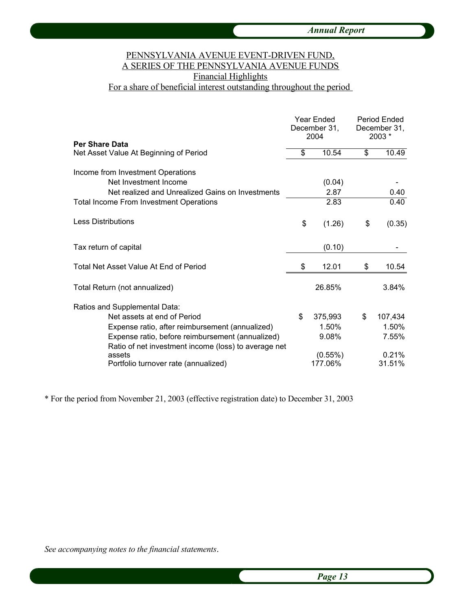# PENNSYLVANIA AVENUE EVENT-DRIVEN FUND, A SERIES OF THE PENNSYLVANIA AVENUE FUNDS Financial Highlights For a share of beneficial interest outstanding throughout the period

|                                                                                                          |    | Year Ended<br>December 31,<br>2004 |    | Period Ended<br>December 31,<br>$2003*$ |  |
|----------------------------------------------------------------------------------------------------------|----|------------------------------------|----|-----------------------------------------|--|
| <b>Per Share Data</b><br>Net Asset Value At Beginning of Period                                          | \$ | 10.54                              | \$ | 10.49                                   |  |
| Income from Investment Operations                                                                        |    |                                    |    |                                         |  |
| Net Investment Income                                                                                    |    | (0.04)                             |    |                                         |  |
| Net realized and Unrealized Gains on Investments                                                         |    | 2.87                               |    | 0.40                                    |  |
| <b>Total Income From Investment Operations</b>                                                           |    | 2.83                               |    | 0.40                                    |  |
| <b>Less Distributions</b>                                                                                | \$ | (1.26)                             | \$ | (0.35)                                  |  |
| Tax return of capital                                                                                    |    | (0.10)                             |    |                                         |  |
| Total Net Asset Value At End of Period                                                                   | \$ | 12.01                              | \$ | 10.54                                   |  |
| Total Return (not annualized)                                                                            |    | 26.85%                             |    | 3.84%                                   |  |
| Ratios and Supplemental Data:                                                                            |    |                                    |    |                                         |  |
| Net assets at end of Period                                                                              | \$ | 375,993                            | \$ | 107,434                                 |  |
| Expense ratio, after reimbursement (annualized)                                                          |    | 1.50%                              |    | 1.50%                                   |  |
| Expense ratio, before reimbursement (annualized)<br>Ratio of net investment income (loss) to average net |    | 9.08%                              |    | 7.55%                                   |  |
| assets                                                                                                   |    | $(0.55\%)$                         |    | 0.21%                                   |  |
| Portfolio turnover rate (annualized)                                                                     |    | 177.06%                            |    | 31.51%                                  |  |

\* For the period from November 21, 2003 (effective registration date) to December 31, 2003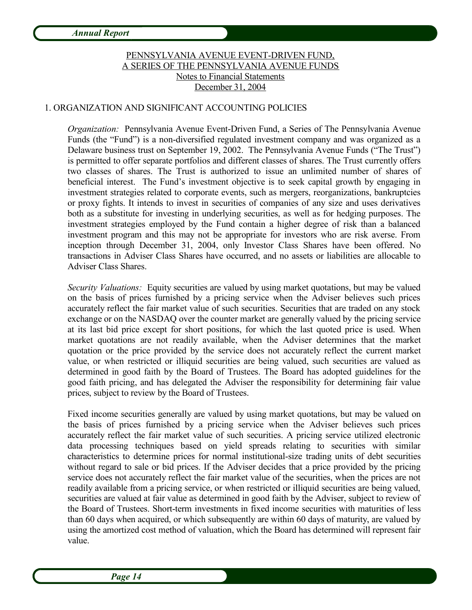# PENNSYLVANIA AVENUE EVENT-DRIVEN FUND, A SERIES OF THE PENNSYLVANIA AVENUE FUNDS Notes to Financial Statements December 31, 2004

# 1. ORGANIZATION AND SIGNIFICANT ACCOUNTING POLICIES

*Organization:* Pennsylvania Avenue Event-Driven Fund, a Series of The Pennsylvania Avenue Funds (the "Fund") is a non-diversified regulated investment company and was organized as a Delaware business trust on September 19, 2002. The Pennsylvania Avenue Funds ("The Trust") is permitted to offer separate portfolios and different classes of shares. The Trust currently offers two classes of shares. The Trust is authorized to issue an unlimited number of shares of beneficial interest. The Fund's investment objective is to seek capital growth by engaging in investment strategies related to corporate events, such as mergers, reorganizations, bankruptcies or proxy fights. It intends to invest in securities of companies of any size and uses derivatives both as a substitute for investing in underlying securities, as well as for hedging purposes. The investment strategies employed by the Fund contain a higher degree of risk than a balanced investment program and this may not be appropriate for investors who are risk averse. From inception through December 31, 2004, only Investor Class Shares have been offered. No transactions in Adviser Class Shares have occurred, and no assets or liabilities are allocable to Adviser Class Shares.

*Security Valuations:* Equity securities are valued by using market quotations, but may be valued on the basis of prices furnished by a pricing service when the Adviser believes such prices accurately reflect the fair market value of such securities. Securities that are traded on any stock exchange or on the NASDAQ over the counter market are generally valued by the pricing service at its last bid price except for short positions, for which the last quoted price is used. When market quotations are not readily available, when the Adviser determines that the market quotation or the price provided by the service does not accurately reflect the current market value, or when restricted or illiquid securities are being valued, such securities are valued as determined in good faith by the Board of Trustees. The Board has adopted guidelines for the good faith pricing, and has delegated the Adviser the responsibility for determining fair value prices, subject to review by the Board of Trustees.

Fixed income securities generally are valued by using market quotations, but may be valued on the basis of prices furnished by a pricing service when the Adviser believes such prices accurately reflect the fair market value of such securities. A pricing service utilized electronic data processing techniques based on yield spreads relating to securities with similar characteristics to determine prices for normal institutional-size trading units of debt securities without regard to sale or bid prices. If the Adviser decides that a price provided by the pricing service does not accurately reflect the fair market value of the securities, when the prices are not readily available from a pricing service, or when restricted or illiquid securities are being valued, securities are valued at fair value as determined in good faith by the Adviser, subject to review of the Board of Trustees. Short-term investments in fixed income securities with maturities of less than 60 days when acquired, or which subsequently are within 60 days of maturity, are valued by using the amortized cost method of valuation, which the Board has determined will represent fair value.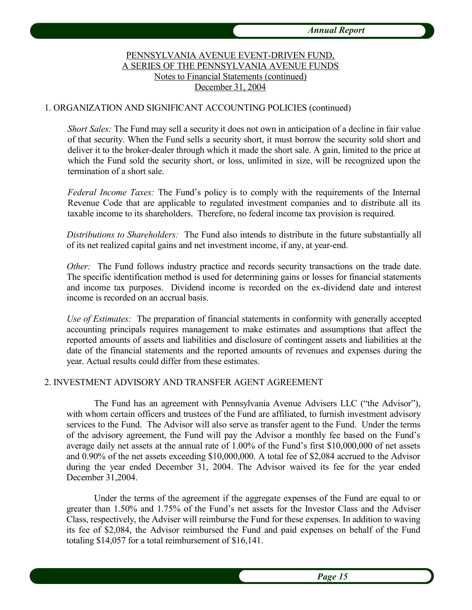# PENNSYLVANIA AVENUE EVENT-DRIVEN FUND, A SERIES OF THE PENNSYLVANIA AVENUE FUNDS Notes to Financial Statements (continued) December 31, 2004

### 1. ORGANIZATION AND SIGNIFICANT ACCOUNTING POLICIES (continued)

*Short Sales:* The Fund may sell a security it does not own in anticipation of a decline in fair value of that security. When the Fund sells a security short, it must borrow the security sold short and deliver it to the broker-dealer through which it made the short sale. A gain, limited to the price at which the Fund sold the security short, or loss, unlimited in size, will be recognized upon the termination of a short sale.

*Federal Income Taxes:* The Fund's policy is to comply with the requirements of the Internal Revenue Code that are applicable to regulated investment companies and to distribute all its taxable income to its shareholders. Therefore, no federal income tax provision is required.

*Distributions to Shareholders:* The Fund also intends to distribute in the future substantially all of its net realized capital gains and net investment income, if any, at year-end.

*Other:* The Fund follows industry practice and records security transactions on the trade date. The specific identification method is used for determining gains or losses for financial statements and income tax purposes. Dividend income is recorded on the ex-dividend date and interest income is recorded on an accrual basis.

*Use of Estimates:* The preparation of financial statements in conformity with generally accepted accounting principals requires management to make estimates and assumptions that affect the reported amounts of assets and liabilities and disclosure of contingent assets and liabilities at the date of the financial statements and the reported amounts of revenues and expenses during the year. Actual results could differ from these estimates.

#### 2. INVESTMENT ADVISORY AND TRANSFER AGENT AGREEMENT

The Fund has an agreement with Pennsylvania Avenue Advisers LLC ("the Advisor"), with whom certain officers and trustees of the Fund are affiliated, to furnish investment advisory services to the Fund. The Advisor will also serve as transfer agent to the Fund. Under the terms of the advisory agreement, the Fund will pay the Advisor a monthly fee based on the Fund's average daily net assets at the annual rate of 1.00% of the Fund's first \$10,000,000 of net assets and 0.90% of the net assets exceeding \$10,000,000. A total fee of \$2,084 accrued to the Advisor during the year ended December 31, 2004. The Advisor waived its fee for the year ended December 31,2004.

Under the terms of the agreement if the aggregate expenses of the Fund are equal to or greater than 1.50% and 1.75% of the Fund's net assets for the Investor Class and the Adviser Class, respectively, the Adviser will reimburse the Fund for these expenses. In addition to waving its fee of \$2,084, the Advisor reimbursed the Fund and paid expenses on behalf of the Fund totaling \$14,057 for a total reimbursement of \$16,141.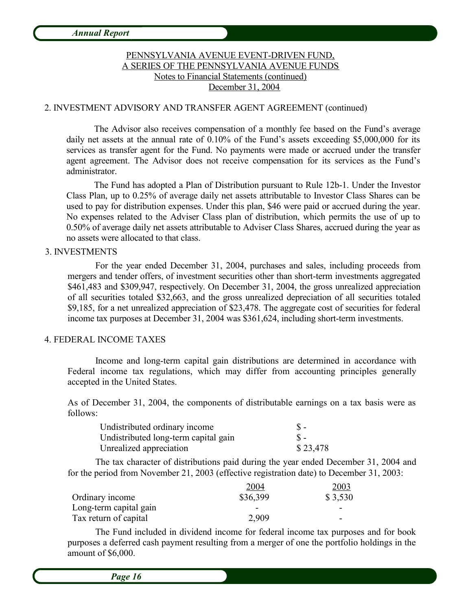# PENNSYLVANIA AVENUE EVENT-DRIVEN FUND, A SERIES OF THE PENNSYLVANIA AVENUE FUNDS Notes to Financial Statements (continued) December 31, 2004

#### 2. INVESTMENT ADVISORY AND TRANSFER AGENT AGREEMENT (continued)

The Advisor also receives compensation of a monthly fee based on the Fund's average daily net assets at the annual rate of 0.10% of the Fund's assets exceeding \$5,000,000 for its services as transfer agent for the Fund. No payments were made or accrued under the transfer agent agreement. The Advisor does not receive compensation for its services as the Fund's administrator.

The Fund has adopted a Plan of Distribution pursuant to Rule 12b-1. Under the Investor Class Plan, up to 0.25% of average daily net assets attributable to Investor Class Shares can be used to pay for distribution expenses. Under this plan, \$46 were paid or accrued during the year. No expenses related to the Adviser Class plan of distribution, which permits the use of up to 0.50% of average daily net assets attributable to Adviser Class Shares, accrued during the year as no assets were allocated to that class.

#### 3. INVESTMENTS

For the year ended December 31, 2004, purchases and sales, including proceeds from mergers and tender offers, of investment securities other than short-term investments aggregated \$461,483 and \$309,947, respectively. On December 31, 2004, the gross unrealized appreciation of all securities totaled \$32,663, and the gross unrealized depreciation of all securities totaled \$9,185, for a net unrealized appreciation of \$23,478. The aggregate cost of securities for federal income tax purposes at December 31, 2004 was \$361,624, including short-term investments.

#### 4. FEDERAL INCOME TAXES

Income and long-term capital gain distributions are determined in accordance with Federal income tax regulations, which may differ from accounting principles generally accepted in the United States.

As of December 31, 2004, the components of distributable earnings on a tax basis were as follows:

| Undistributed ordinary income        | $S -$    |
|--------------------------------------|----------|
| Undistributed long-term capital gain | $S -$    |
| Unrealized appreciation              | \$23,478 |

The tax character of distributions paid during the year ended December 31, 2004 and for the period from November 21, 2003 (effective registration date) to December 31, 2003:

|                        | 2004     | 2003                     |
|------------------------|----------|--------------------------|
| Ordinary income        | \$36,399 | \$3,530                  |
| Long-term capital gain |          |                          |
| Tax return of capital  | 2,909    | $\overline{\phantom{0}}$ |

The Fund included in dividend income for federal income tax purposes and for book purposes a deferred cash payment resulting from a merger of one the portfolio holdings in the amount of \$6,000.

*Page 16*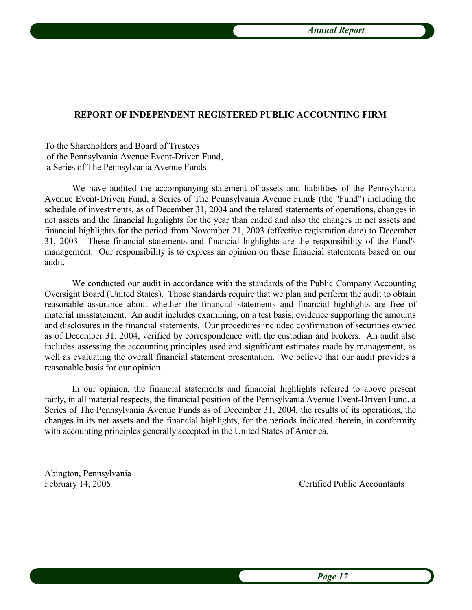#### **REPORT OF INDEPENDENT REGISTERED PUBLIC ACCOUNTING FIRM**

To the Shareholders and Board of Trustees of the Pennsylvania Avenue Event-Driven Fund, a Series of The Pennsylvania Avenue Funds

We have audited the accompanying statement of assets and liabilities of the Pennsylvania Avenue Event-Driven Fund, a Series of The Pennsylvania Avenue Funds (the "Fund") including the schedule of investments, as of December 31, 2004 and the related statements of operations, changes in net assets and the financial highlights for the year than ended and also the changes in net assets and financial highlights for the period from November 21, 2003 (effective registration date) to December 31, 2003. These financial statements and financial highlights are the responsibility of the Fund's management. Our responsibility is to express an opinion on these financial statements based on our audit.

We conducted our audit in accordance with the standards of the Public Company Accounting Oversight Board (United States). Those standards require that we plan and perform the audit to obtain reasonable assurance about whether the financial statements and financial highlights are free of material misstatement. An audit includes examining, on a test basis, evidence supporting the amounts and disclosures in the financial statements. Our procedures included confirmation of securities owned as of December 31, 2004, verified by correspondence with the custodian and brokers. An audit also includes assessing the accounting principles used and significant estimates made by management, as well as evaluating the overall financial statement presentation. We believe that our audit provides a reasonable basis for our opinion.

In our opinion, the financial statements and financial highlights referred to above present fairly, in all material respects, the financial position of the Pennsylvania Avenue Event-Driven Fund, a Series of The Pennsylvania Avenue Funds as of December 31, 2004, the results of its operations, the changes in its net assets and the financial highlights, for the periods indicated therein, in conformity with accounting principles generally accepted in the United States of America.

Abington, Pennsylvania

February 14, 2005 Certified Public Accountants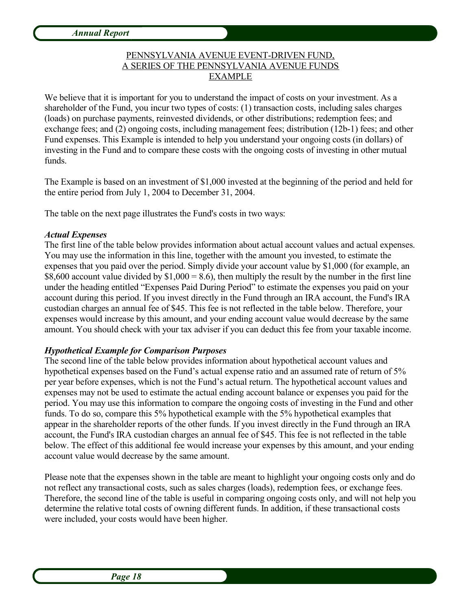# PENNSYLVANIA AVENUE EVENT-DRIVEN FUND, A SERIES OF THE PENNSYLVANIA AVENUE FUNDS EXAMPLE

We believe that it is important for you to understand the impact of costs on your investment. As a shareholder of the Fund, you incur two types of costs: (1) transaction costs, including sales charges (loads) on purchase payments, reinvested dividends, or other distributions; redemption fees; and exchange fees; and (2) ongoing costs, including management fees; distribution (12b-1) fees; and other Fund expenses. This Example is intended to help you understand your ongoing costs (in dollars) of investing in the Fund and to compare these costs with the ongoing costs of investing in other mutual funds.

The Example is based on an investment of \$1,000 invested at the beginning of the period and held for the entire period from July 1, 2004 to December 31, 2004.

The table on the next page illustrates the Fund's costs in two ways:

### *Actual Expenses*

The first line of the table below provides information about actual account values and actual expenses. You may use the information in this line, together with the amount you invested, to estimate the expenses that you paid over the period. Simply divide your account value by \$1,000 (for example, an \$8,600 account value divided by  $$1,000 = 8.6$ ), then multiply the result by the number in the first line under the heading entitled "Expenses Paid During Period" to estimate the expenses you paid on your account during this period. If you invest directly in the Fund through an IRA account, the Fund's IRA custodian charges an annual fee of \$45. This fee is not reflected in the table below. Therefore, your expenses would increase by this amount, and your ending account value would decrease by the same amount. You should check with your tax adviser if you can deduct this fee from your taxable income.

# *Hypothetical Example for Comparison Purposes*

The second line of the table below provides information about hypothetical account values and hypothetical expenses based on the Fund's actual expense ratio and an assumed rate of return of 5% per year before expenses, which is not the Fund's actual return. The hypothetical account values and expenses may not be used to estimate the actual ending account balance or expenses you paid for the period. You may use this information to compare the ongoing costs of investing in the Fund and other funds. To do so, compare this 5% hypothetical example with the 5% hypothetical examples that appear in the shareholder reports of the other funds. If you invest directly in the Fund through an IRA account, the Fund's IRA custodian charges an annual fee of \$45. This fee is not reflected in the table below. The effect of this additional fee would increase your expenses by this amount, and your ending account value would decrease by the same amount.

Please note that the expenses shown in the table are meant to highlight your ongoing costs only and do not reflect any transactional costs, such as sales charges (loads), redemption fees, or exchange fees. Therefore, the second line of the table is useful in comparing ongoing costs only, and will not help you determine the relative total costs of owning different funds. In addition, if these transactional costs were included, your costs would have been higher.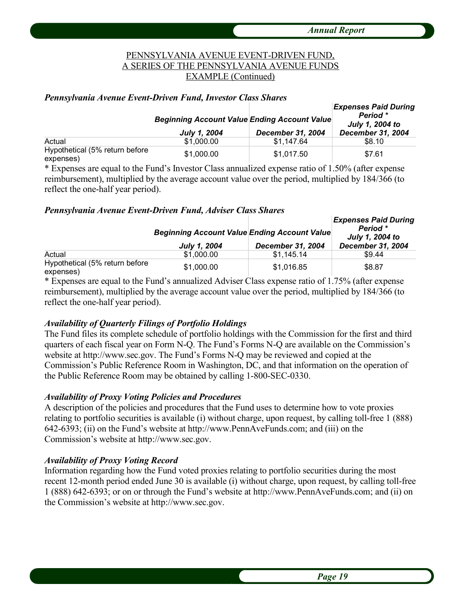# PENNSYLVANIA AVENUE EVENT-DRIVEN FUND, A SERIES OF THE PENNSYLVANIA AVENUE FUNDS EXAMPLE (Continued)

#### *Pennsylvania Avenue Event-Driven Fund, Investor Class Shares*

|                                             | <b>Beginning Account Value Ending Account Value</b> |                          | <b>Expenses Paid During</b><br>Period *<br>July 1, 2004 to |  |
|---------------------------------------------|-----------------------------------------------------|--------------------------|------------------------------------------------------------|--|
|                                             | July 1, 2004                                        | <b>December 31, 2004</b> | <b>December 31, 2004</b>                                   |  |
| Actual                                      | \$1,000.00                                          | \$1.147.64               | \$8.10                                                     |  |
| Hypothetical (5% return before<br>expenses) | \$1,000.00                                          | \$1.017.50               | \$7.61                                                     |  |

\* Expenses are equal to the Fund's Investor Class annualized expense ratio of 1.50% (after expense reimbursement), multiplied by the average account value over the period, multiplied by 184/366 (to reflect the one-half year period).

#### *Pennsylvania Avenue Event-Driven Fund, Adviser Class Shares*

|                                             | <b>Beginning Account Value Ending Account Value</b><br><b>July 1, 2004</b> | December 31, 2004 | <b>Expenses Paid During</b><br>Period *<br>July 1, 2004 to<br><b>December 31, 2004</b> |
|---------------------------------------------|----------------------------------------------------------------------------|-------------------|----------------------------------------------------------------------------------------|
| Actual                                      | \$1,000.00                                                                 | \$1.145.14        | \$9.44                                                                                 |
| Hypothetical (5% return before<br>expenses) | \$1,000.00                                                                 | \$1,016.85        | \$8.87                                                                                 |

\* Expenses are equal to the Fund's annualized Adviser Class expense ratio of 1.75% (after expense reimbursement), multiplied by the average account value over the period, multiplied by 184/366 (to reflect the one-half year period).

### *Availability of Quarterly Filings of Portfolio Holdings*

The Fund files its complete schedule of portfolio holdings with the Commission for the first and third quarters of each fiscal year on Form N-Q. The Fund's Forms N-Q are available on the Commission's website at http://www.sec.gov. The Fund's Forms N-Q may be reviewed and copied at the Commission's Public Reference Room in Washington, DC, and that information on the operation of the Public Reference Room may be obtained by calling 1-800-SEC-0330.

### *Availability of Proxy Voting Policies and Procedures*

A description of the policies and procedures that the Fund uses to determine how to vote proxies relating to portfolio securities is available (i) without charge, upon request, by calling toll-free 1 (888) 642-6393; (ii) on the Fund's website at http://www.PennAveFunds.com; and (iii) on the Commission's website at http://www.sec.gov.

#### *Availability of Proxy Voting Record*

Information regarding how the Fund voted proxies relating to portfolio securities during the most recent 12-month period ended June 30 is available (i) without charge, upon request, by calling toll-free 1 (888) 642-6393; or on or through the Fund's website at http://www.PennAveFunds.com; and (ii) on the Commission's website at http://www.sec.gov.